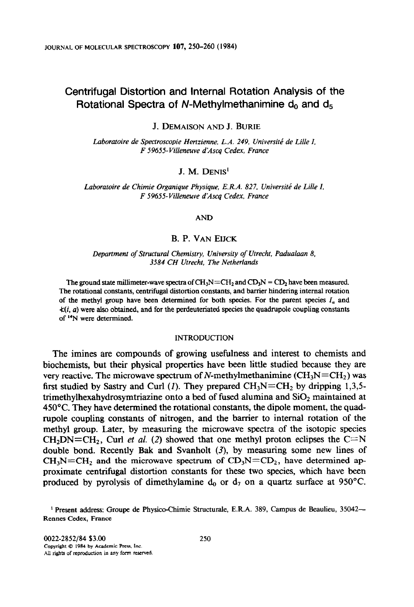# **Centrifugal Distortion and Internal Rotation Analysis of the**  Rotational Spectra of N-Methylmethanimine d<sub>0</sub> and d<sub>5</sub>

J. **DEMAISON AND J. BURIE** 

Laboratoire de Spectroscopie Hertzienne. L.A. 249, Université de Lille I, *F 59655-Villeneuve d\*Ascq Cedex, France* 

## J. M. **DENIS'**

Laboratoire de Chimie Organique Physique, E.R.A. 827, Université de Lille I, *F 59655-Villeneuve djlscq Cedex, France* 

#### **AND**

## B. P. **VAN EIJCK**

*Department* **of** *Structural Chemistry, University of Utrecht, Padualaan 8, 3584 CH Utrecht. The Netherlands* 

The ground state millimeter-wave spectra of  $CH_3N=CH_2$  and  $CD_3N = CD_2$  have been measured. **The rotational constants, centrifugal distortion constants, and barrier hindering internal rotation**  of the methyl group have been determined for both species. For the parent species  $I_a$  and  $\angle(i, a)$  were also obtained, and for the perdeuteriated species the quadrupole coupling constants **of "N were determined.** 

### **INTRODUCTION**

The imines are compounds of growing usefulness and interest to chemists and biochemists, but their physical properties have been little studied because they are very reactive. The microwave spectrum of N-methylmethanimine ( $CH<sub>3</sub>N=CH<sub>2</sub>$ ) was first studied by Sastry and Curl (1). They prepared  $CH_3N=CH_2$  by dripping 1,3,5trimethylhexahydrosymtriazine onto a bed of fused alumina and  $SiO<sub>2</sub>$  maintained at 45O'C. They have determined the rotational constants, the dipole moment, the quadrupole coupling constants of nitrogen, and the barrier to internal rotation of the methyl group. Later, by measuring the microwave spectra of the isotopic species  $CH<sub>2</sub>DN=CH<sub>2</sub>$ , Curl *et al.* (2) showed that one methyl proton eclipses the C=N double bond. Recently Bak and Svanholt  $(3)$ , by measuring some new lines of  $CH_3N=CH_2$  and the microwave spectrum of  $CD_3N=CD_2$ , have determined approximate centrifugal distortion constants for these two species, which have been produced by pyrolysis of dimethylamine  $d_0$  or  $d_7$  on a quartz surface at 950°C.

**I Present address: Groupe de Physico-Chimie Structurale, E.R.A. 389, Campus de Beaulieu, 35042- Rennes Cedex. France**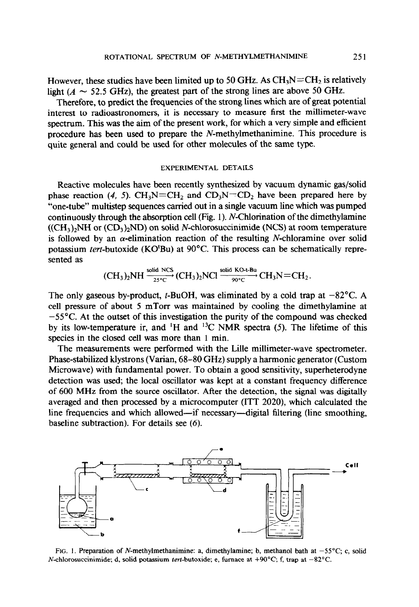However, these studies have been limited up to 50 GHz. As  $CH<sub>3</sub>N=CH<sub>2</sub>$  is relatively light ( $A \sim 52.5$  GHz), the greatest part of the strong lines are above 50 GHz.

Therefore, to predict the frequencies of the strong lines which are of great potential interest to radioastronomers, it is necessary to measure first the millimeter-wave spectrum. This was the aim of the present work, for which a very simple and efficient procedure has been used to prepare the  $N$ -methylmethanimine. This procedure is quite general and could be used for other molecules of the same type.

#### EXPERIMENTAL DETAILS

Reactive molecules have been recently synthesized by vacuum dynamic gas/solid phase reaction (4, 5).  $CH_3N=CH_2$  and  $CD_3N=CD_2$  have been prepared here by "one-tube" multistep sequences carried out in a single vacuum line which was pumped continuously through the absorption cell (Fig. 1). N-Chlorination of the dimethylamine  $((CH<sub>3</sub>)<sub>2</sub>NH or (CD<sub>3</sub>)<sub>2</sub>ND)$  on solid N-chlorosuccinimide (NCS) at room temperature is followed by an  $\alpha$ -elimination reaction of the resulting N-chloramine over solid potassium tert-butoxide (KO'Bu) at 90°C. This process can be schematically represented as

$$
(CH_3)_2NH \xrightarrow[25^\circ C]{\text{solid NCS}} (CH_3)_2NCl \xrightarrow[90^\circ C]{\text{solid KO-1-Bu}} CH_3N=CH_2.
$$

The only gaseous by-product, t-BuOH, was eliminated by a cold trap at  $-82^{\circ}$ C. A cell pressure of about 5 mTorr was maintained by cooling the dimethylamine at  $-55^{\circ}$ C. At the outset of this investigation the purity of the compound was checked by its low-temperature ir, and <sup>1</sup>H and <sup>13</sup>C NMR spectra (5). The lifetime of this species in the closed cell was more than 1 min.

The measurements were performed with the Lille millimeter-wave spectrometer. Phase-stabilized klystrons (Varian, 68-80 GHz) supply a harmonic generator (Custom Microwave) with fundamental power. To obtain a good sensitivity, superheterodyne detection was used; the local oscillator was kept at a constant frequency difference of 600 MHz from the source oscillator. After the detection, the signal was digitally averaged and then processed by a microcomputer (ITT 2020), which calculated the line frequencies and which allowed—if necessary—digital filtering (line smoothing, baseline subtraction). For details see (6).



FIG. 1. Preparation of N-methylmethanimine: a, dimethylamine; b, methanol bath at  $-55^{\circ}$ C; c, solid N-chlorosuccinimide; d, solid potassium *tert*-butoxide; e, furnace at  $+90^{\circ}$ C; f, trap at  $-82^{\circ}$ C.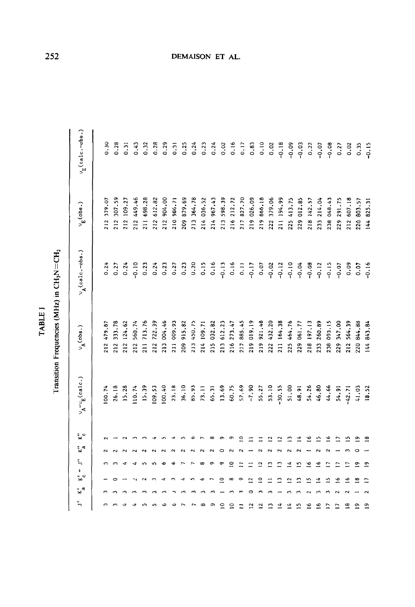| p<br>۰. |
|---------|
| c<br>E  |
|         |
|         |

Transition Frequencies (MHz) in  $CH<sub>3</sub>N = CH<sub>2</sub>$ Transition Frequencies (MHz) in CH,N=CH2

| $v_{\rm E}$ (calc.-obs.)                                                        | 0.30       | 0.28       | 0.31       | 0.43       | 0.32       | 0.28       | 0.29       | 0.31       | 0.25          | 0.24       | 0.23       | 0.24       | 0.02        | 0.16           | 0.17             | 0.83           | 0.10            | 0.02         | $-0.18$      | $-0.09$         | $-0.03$    | 0.22            | $-0.07$       | $-0.08$    | 0.27           | 0.02        | 0.35       | $-0.15$        |
|---------------------------------------------------------------------------------|------------|------------|------------|------------|------------|------------|------------|------------|---------------|------------|------------|------------|-------------|----------------|------------------|----------------|-----------------|--------------|--------------|-----------------|------------|-----------------|---------------|------------|----------------|-------------|------------|----------------|
| $\sim_{\mathbb{E}}$ (obs.)                                                      | 212 379.07 | 212 307.59 | 212 109.27 | 212 449.46 | 211 698.28 | 212 612.82 | 212 904.00 | 210 986.71 | 209 879.69    | 213 364.78 | 214 036.52 | 214 967.43 | 213 598.39  | 216 212.72     | 217 827.70       | 219 026.09     | 219 866.18      | 222 379.06   | 211 194.99   | 225 413.75      | 229 012.85 | 218 142.57      | 233 214.04    | 238 048.43 | 229 291.75     | 212 607.18  | 220 803.57 | 144 825.31     |
| $v_A$ (calc.-obs.)                                                              | 0.24       | 0.27       | 0.24       | $-0.10$    | 0.23       | 0.24       | 0.23       | 0.27       | 0.23          | 0.20       | 0.15       | 0.16       | $-0.13$     | 0.16           | $\overline{0}$ . | $-0.17$        | 0.07            | $-0.02$      | $-0.12$      | $-0.10$         | $-0.04$    | $-0.08$         | $-0.12$       | $-0.15$    | $-0.07$        | 0.09        | 0.07       | $-0.16$        |
| $\mathbf{v_{A}^{(obs.)}}$                                                       | 212 479.87 | 212 333.78 | 212 124.62 | 212 560.74 | 211 713.76 | 212 722.39 | 213 004.46 | 211 009.93 | 915.82<br>209 | 213 450.75 | 214 109.71 | 215 032.82 | 213 612.23  | 216 273.47     | 217 885.45       | 219 019.19     | 219 921.48      | 222 432.20   | 211 164.38   | 225 464.76      | 229 061.77 | 218 197.13      | 233 260.89    | 238 093.15 | 229 347.00     | 212 564.39  | 220 844.88 | 144 843.84     |
| $v_{\rm A}^{\phantom{\rm A}\sigma}v_{\rm E}^{\phantom{\rm A}\sigma\rm (calc.)}$ | 00.74      | 26.18      | 15.28      | 110.74     | 15.39      | 109.53     | 100.40     | 23.18      | 36.10         | 85.93      | 73.11      | 65.31      | 13.69       | 60.75          | 57.69            | $-7.90$        | 55.27           | 53.10        | 30.55        | 51.00           | 48.91      | 54.26           | 46.80         | 44.66      | 54.91          | $-42.71$    | 41.03      | 18.52          |
| Ļ٥                                                                              |            |            |            |            |            |            |            |            |               |            |            |            |             | σ              | Չ                |                |                 | ₫            | ≌            | Ω               | ₫          | ٩               | ≏             | ٩          |                | ŋ           | ጣ          | $\frac{8}{1}$  |
| $\mathbb{R}^d$                                                                  |            |            |            |            |            |            |            |            |               |            |            |            |             |                |                  |                |                 |              |              |                 |            |                 |               |            |                |             |            |                |
|                                                                                 |            |            |            |            |            |            |            |            |               |            | $\infty$   | o١         | ᡡ           | 2              |                  |                | ಼               | ≅            | ≏            | ₫               | ⊵          | ٩               | ≗             | ≘          |                |             | ō          | $\overline{1}$ |
| $K_c^{\prime}$ + $J^{\prime\prime}$                                             |            |            |            |            |            |            |            |            |               |            |            |            | $\subseteq$ | $\infty$       | $\sigma$         | $\overline{C}$ | $\subseteq$     |              | ≏            | Ċ,              | 3          | n               | ¢             | ⊵          | ٯ              | ڡ           | œ          | n              |
| -∡°                                                                             |            |            |            |            |            |            |            |            |               |            |            |            |             |                |                  |                |                 |              |              |                 |            |                 |               |            |                |             |            |                |
| ÷,                                                                              |            |            |            |            |            |            |            |            |               |            | œ          | ᡡ          | $\Xi$       | $\overline{a}$ | Ξ                | 12             | $\overline{12}$ | $\mathbf{r}$ | $\mathbf{1}$ | $\overline{14}$ | n          | $\overline{16}$ | $\frac{6}{1}$ | Ξ          | $\overline{1}$ | $\tilde{=}$ | ∘          | $\tilde{e}$    |

# DEMAISON ET AL.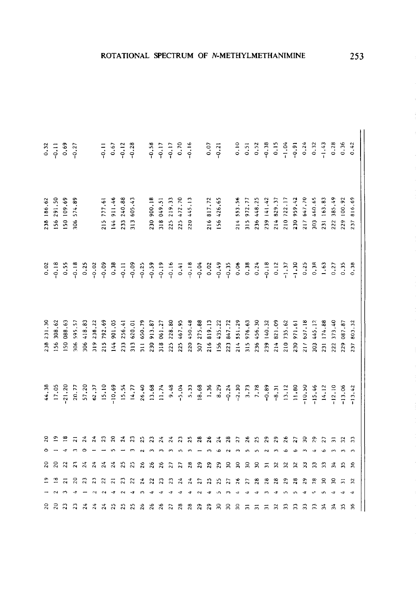|            | $0.32$<br>$-0.1$<br>$-0.6$<br>$-0.27$ |            |               |               |                         |               | $-0.11$<br>$0.67$<br>$-0.12$ |               | $-0.28$            |                         | $-0.58$<br>$-0.17$ |            | $-0.17$    | 0.70       |            |                      | 0.07       | $-0.21$    |            | 0.10       | 0.51                      | 0.52       | $-0.38$    |               | $0.15$<br>$-1.04$<br>$-0.91$ |               | 0.24       | 0.32                     | $-1.43$    | 0.28          | 0.36       | 0.42          |
|------------|---------------------------------------|------------|---------------|---------------|-------------------------|---------------|------------------------------|---------------|--------------------|-------------------------|--------------------|------------|------------|------------|------------|----------------------|------------|------------|------------|------------|---------------------------|------------|------------|---------------|------------------------------|---------------|------------|--------------------------|------------|---------------|------------|---------------|
| 238 186.62 | 156 291.50                            | 150 109.69 | 306 574.89    |               |                         | 215 777.61    | 144 911.46                   | 233 240.88    | 313 605.43         |                         | 230 900.18         | 318 049.51 | 225 219.33 | 225 472.70 | 220 445.13 |                      | 216 817.72 | 156 426.65 |            | 214 553.56 | 972.77<br>315             | 236 448.25 | 239 141.42 | 214 829.37    | 210 722.17                   | 230 959 42    | 217 647.70 | 803 460.65               | 231 163.83 | 222 385.49    | 229 100.92 | 816.69<br>237 |
|            | $0.02$<br>$-0.18$                     | 0.55       |               | 0.25          | $-0.02$                 | $-0.09$       | 0.38                         | $-0.11$       | $-0.09$<br>$-0.25$ |                         | $-0.59$            |            | $-0.16$    | 0.41       | $-0.18$    | $-0.04$              | 0.02       | $-0.49$    | $-0.35$    | 0.06       | 0.38                      | 0.24       | $-0.18$    | 0.12          | $-1.37$                      | $-1.30$       | 0.25       | 0.38                     | 1.63       | 0.27          | 0.35       | 0.38          |
| 238 231.30 | 56 308.62                             | 150 088.63 | 595.57<br>306 | 418.83<br>306 | 238.22<br>$\frac{9}{2}$ | 792.69<br>215 | 901.05<br>144                | 256.41<br>233 | 313 620.01         | 650.79<br>$\frac{1}{2}$ | 913.87<br>230      | 318 061.27 | 225 228.80 | 225 467.95 | 220 450.48 | 307 275.88           | 216 819.13 | 156 435.22 | 223 847.72 | 214 551.29 | 976.63<br>$\frac{15}{11}$ | 236 456.30 | 239 140.32 | 821.09<br>214 | 210 735.62                   | 971.61<br>230 | 217 637.18 | 445.12<br>$\frac{30}{3}$ | 231 174.88 | 373.40<br>222 | 229 087.87 | 803.32<br>237 |
| 44.38      | 17.05                                 | $-21.20$   | 20.77         | 57.20         | 62.37                   | 15.10         | $-10.69$                     | 15.54         | 14.77              | 26.40                   | 13.68              | 11.74      | 9.48       | $-5.04$    |            | $\frac{5.33}{18.68}$ | 1.36       | 8.29       | $-0.24$    | $-2.30$    | 3.73                      | 7.78       | $-0.89$    | $-8.31$       | 13.12                        | 11.80         | $-10.50$   | 15.46                    | 14.12      | $-12.10$      | $-13.06$   | $-13.42$      |
|            |                                       |            |               |               |                         |               |                              |               |                    | ŗ٠                      |                    |            |            |            |            |                      |            |            |            |            |                           |            |            |               |                              |               | ల్ల        | £.                       |            |               |            | ግ             |
|            |                                       |            |               |               |                         |               |                              |               | ని                 | 26                      |                    |            |            | 27         | Ξ.         | 2                    | 2          | 29         | 2          | ຂ          | င္က                       | ຂ          | ᇹ          | ≈             |                              |               | ని         |                          |            |               |            | 36            |
|            |                                       |            |               |               |                         |               |                              |               |                    |                         |                    |            |            |            |            |                      |            |            |            |            |                           |            |            |               |                              |               |            |                          |            |               |            | $\mathbf{z}$  |
| ន          |                                       |            |               |               |                         |               |                              |               |                    |                         |                    |            |            |            |            |                      |            | ္က         | ຂ          | ္က         |                           |            |            |               |                              |               |            |                          |            |               |            | $\frac{8}{3}$ |

# ROTATIONAL SPECTRUM OF N-METHYLMETHANIMINE

253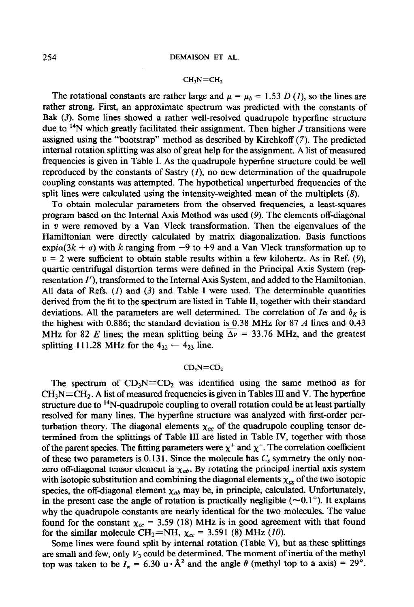The rotational constants are rather large and  $\mu = \mu_b = 1.53 D(t)$ , so the lines are rather strong. First, an approximate spectrum was predicted with the constants of Bak (3). Some lines showed a rather well-resolved quadrupole hyperfine structure due to 14N which greatly facilitated their assignment. Then higher *J* transitions were assigned using the "bootstrap" method as described by Kirchkoff (7). The predicted internal rotation splitting was also of great help for the assignment. A list of measured frequencies is given in Table I. As the quadrupole hypertine structure could be well reproduced by the constants of Sastry  $(1)$ , no new determination of the quadrupole coupling constants was attempted. The hypothetical unperturbed frequencies of the split lines were calculated using the intensity-weighted mean of the multiplets (8).

To obtain molecular parameters from the observed frequencies, a least-squares program based on the Internal Axis Method was used (9). The elements off-diagonal in  $v$  were removed by a Van Vleck transformation. Then the eigenvalues of the Hamiltonian were directly calculated by matrix diagonalization. Basis functions expi $\alpha(3k + \sigma)$  with k ranging from  $-9$  to  $+9$  and a Van Vleck transformation up to  $v = 2$  were sufficient to obtain stable results within a few kilohertz. As in Ref. (9), quartic centrifugal distortion terms were defined in the Principal Axis System (representation I'), transformed to the Internal Axis System, and added to the Hamiltonian. All data of Refs.  $(1)$  and  $(3)$  and Table I were used. The determinable quantities derived from the fit to the spectrum are listed in Table II, together with their standard deviations. All the parameters are well determined. The correlation of  $I\alpha$  and  $\delta_K$  is the highest with 0.886; the standard deviation is  $0.38$  MHz for 87 A lines and 0.43 MHz for 82 E lines; the mean splitting being  $\Delta \nu = 33.76$  MHz, and the greatest splitting 111.28 MHz for the  $4_{32} \leftarrow 4_{23}$  line.

### $CD<sub>3</sub>N=CD<sub>2</sub>$

The spectrum of  $CD_3N=CD_2$  was identified using the same method as for  $CH<sub>3</sub>N=CH<sub>2</sub>$ . A list of measured frequencies is given in Tables III and V. The hyperfine structure due to  $14N$ -quadrupole coupling to overall rotation could be at least partially resolved for many lines. The hyperfine structure was analyzed with first-order perturbation theory. The diagonal elements  $\chi_{gg}$  of the quadrupole coupling tensor determined from the splittings of Table III are listed in Table IV, together with those of the parent species. The fitting parameters were  $\chi^+$  and  $\chi^-$ . The correlation coefficient of these two parameters is 0.131. Since the molecule has  $C_s$  symmetry the only nonzero off-diagonal tensor element is  $\chi_{ab}$ . By rotating the principal inertial axis system with isotopic substitution and combining the diagonal elements  $\chi_{gg}$  of the two isotopic species, the off-diagonal element  $\chi_{ab}$  may be, in principle, calculated. Unfortunately, in the present case the angle of rotation is practically negligible  $(\sim 0.1^{\circ})$ . It explains why the quadrupole constants are nearly identical for the two molecules. The value found for the constant  $\chi_{cc}$  = 3.59 (18) MHz is in good agreement with that found for the similar molecule CH<sub>2</sub>=NH,  $\chi_{cc}$  = 3.591 (8) MHz (10).

Some lines were found split by internal rotation (Table V), but as these splittings are small and few, only  $V_3$  could be determined. The moment of inertia of the methyl top was taken to be  $I_{\alpha} = 6.30 \text{ u} \cdot \text{Å}^2$  and the angle  $\theta$  (methyl top to a axis) = 29°.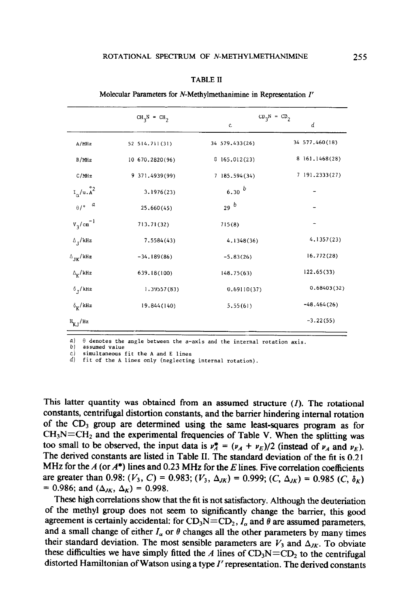|                                                              | $CH_3N = CH_2$  | $CD_3N = CD_2$ |                  |
|--------------------------------------------------------------|-----------------|----------------|------------------|
|                                                              |                 | $\mathbf c$    | d                |
| A/MHz                                                        | 52 514.711 (31) | 34 579.433(26) | 34 577.460(18)   |
| B/MHz                                                        | 10 670.2820(96) | 8165.012(23)   | 8 161, 1468 (28) |
| C/MHz                                                        | 9 371.4939(99)  | 7 185.594 (34) | 7 191.2333(27)   |
| $\mathbf{I}_{\alpha}/\mathbf{u}$ . $\mathring{\mathtt{A}}^2$ | 3.1976(23)      | 6.30 b         |                  |
| $\theta / \rho$ a                                            | 25.660(45)      | 29b            |                  |
| $v_3/cm^{-1}$                                                | 713.71(32)      | 715(8)         |                  |
| $\Delta_{_{\rm I}}/\mathrm{kHz}$                             | 7.5584(43)      | 4.1348(36)     | 4.1357(23)       |
| $\Delta_{\text{JK}}/\text{kHz}$                              | $-34.189(86)$   | $-5.83(26)$    | 16.772(28)       |
| $\Delta_{\rm K} / {\rm kHz}$                                 | 639.18(100)     | 148.75(63)     | 122.65(33)       |
| $\delta$ , /kHz                                              | 1.39557(83)     | 0.69110(37)    | 0.68403(32)      |
| $\delta_{\mathbf{k}}$ /kHz                                   | 19.844 (140)    | 5,55(61)       | $-48.464(26)$    |
| $H_{K,I}/Hz$                                                 |                 |                | $-3.22(55)$      |

TABLE II

Molecular Parameters for N-Methylmethanimine in Representation I'

 $a)$   $\theta$  denotes the angle between the a-axis and the internal rotation axis.

assumed value

simultaneous fit the A and E lines

d) fit of the A lines only (neglecting internal rotation).

This latter quantity was obtained from an assumed structure  $(1)$ . The rotational constants, centrifugal distortion constants, and the barrier hindering internal rotation of the  $CD_3$  group are determined using the same least-squares program as for  $CH<sub>3</sub>N=CH<sub>2</sub>$  and the experimental frequencies of Table V. When the splitting was too small to be observed, the input data is  $v_A^* = (v_A + v_E)/2$  (instead of  $v_A$  and  $v_E$ ). The derived constants are listed in Table II. The standard deviation of the fit is 0.21 MHz for the  $A$  (or  $A^*$ ) lines and 0.23 MHz for the  $E$  lines. Five correlation coefficients are greater than 0.98:  $(V_3, C) = 0.983$ ;  $(V_3, \Delta_{JK}) = 0.999$ ;  $(C, \Delta_{JK}) = 0.985$   $(C, \delta_K)$ = 0.986; and  $(\Delta_{JK}, \Delta_K)$  = 0.998.

These high correlations show that the fit is not satisfactory. Although the deuteriation of the methyl group does not seem to significantly change the barrier, this good agreement is certainly accidental: for  $CD_3N=CD_2$ ,  $I_\alpha$  and  $\theta$  are assumed parameters, and a small change of either  $I_{\alpha}$  or  $\theta$  changes all the other parameters by many times their standard deviation. The most sensible parameters are  $V_3$  and  $\Delta_{JK}$ . To obviate these difficulties we have simply fitted the A lines of  $CD_3N=CD_2$  to the centrifugal distorted Hamiltonian of Watson using a type  $I<sup>r</sup>$  representation. The derived constants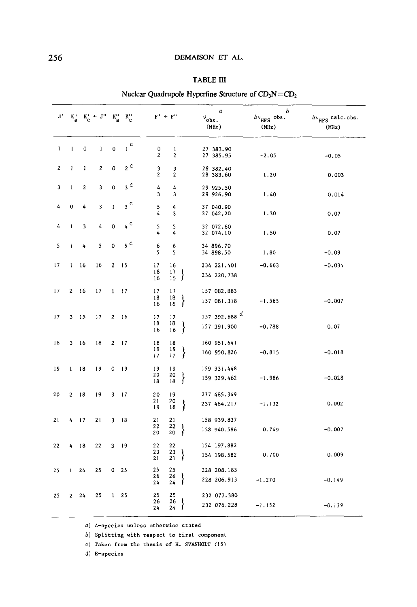## **TABLE III**

| J' | $k_a$          |                | $K_c' + J'' - K_a'' - K_c''$ |              |                 | $F' + F''$     |                     |   | α<br>$v_{\rm obs.}$<br>(Mllz)  | ь<br>$\Delta v$ <sub>HFS</sub> obs.<br>(MHz) | $\Delta v$ <sub>HFS</sub> calc.obs.<br>(MHz) |
|----|----------------|----------------|------------------------------|--------------|-----------------|----------------|---------------------|---|--------------------------------|----------------------------------------------|----------------------------------------------|
| 1  | 1              | 0              | 1                            | 0            | $_{\rm 1}$ c    | 0<br>2         | 1<br>$\overline{2}$ |   | 27 383.90<br>27 385.95         | $-2.05$                                      | $-0.05$                                      |
| 2  | ı              | 1              | 2                            | 0            | $2^{\circ}$     | з<br>2         | 3<br>2              |   | 28 382.40<br>28 383.60         | 1.20                                         | 0.003                                        |
| 3  | 1              | $\overline{2}$ | 3                            | 0            | $3^{\circ}$     | 4<br>3         | 4<br>3              |   | 29 925.50<br>29 926.90         | 1.40                                         | 0.014                                        |
| 4  | 0              | 4              | 3                            | $\mathbf I$  | $_3$ $^{\rm c}$ | 5<br>4         | 4<br>3              |   | 37 040.90<br>37 042.20         | 1.30                                         | 0.07                                         |
| 4  | $\mathbf{1}$   | 3              | 4                            | 0            | $_4$ $^{\rm c}$ | 5<br>4         | 5<br>4              |   | 32 072.60<br>32 074.10         | 1.50                                         | 0.07                                         |
| 5  | 1              | 4              | 5                            | 0            | $5^{\circ}$     | 6<br>5         | 6<br>5              |   | 34 896.70<br>34 898.50         | 1.80                                         | $-0.09$                                      |
| 17 | 1              | 16             | 16                           | 2            | 15              | 17<br>18<br>16 | 16<br>17<br>15      | ∤ | 234 221.401<br>234 220.738     | $-0.663$                                     | $-0.034$                                     |
| 17 | $\overline{2}$ | 16             | 17                           | $\mathbf{I}$ | 17              | 17<br>18<br>16 | 17<br>18<br>16      | ł | 157 082.883<br>157 081.318     | $-1.565$                                     | $-0.007$                                     |
| 17 | 3              | 15             | 17                           | 2            | 16              | 17<br>18<br>16 | 17<br>18<br>16      | ∤ | 157 392.688 $d$<br>157 391.900 | $-0.788$                                     | 0.07                                         |
| 18 | 3              | 16             | 18                           | $\mathbf{2}$ | 17              | 18<br>19<br>17 | 18<br>19<br>17      | ł | 160 951.641<br>160 950.826     | $-0.815$                                     | $-0.018$                                     |
| 19 | $\mathbf{I}$   | 18             | 19                           | 0            | 19              | 19<br>20<br>18 | 19<br>20<br>18      | ł | 159 331.448<br>159 329.462     | $-1.986$                                     | $-0.028$                                     |
| 20 | 2              | 18             | 19                           | 3            | -17             | 20<br>21<br>19 | 19<br>20<br>18      | ∤ | 237 485.349<br>237 484.217     | $-1.132$                                     | 0.002                                        |
| 21 | 4              | -17            | 21                           | 3            | 18              | 21<br>22<br>20 | 21<br>22<br>20      | ∤ | 158 939.837<br>158 940.586     | 0.749                                        | $-0.007$                                     |
| 22 | 4              | 18             | 22                           | 3            | -19             | 22<br>23<br>21 | 22<br>23<br>21      | ł | 154 197.882<br>154 198.582     | 0.700                                        | 0.009                                        |
| 25 | 1              | 24             | 25                           | 0            | 25              | 25<br>26<br>24 | 25<br>26<br>24      | ∤ | 228 208.183<br>228 206.913     | $-1.270$                                     | $-0.149$                                     |
| 25 | $\overline{2}$ | 24             | 25                           | $\mathbf{1}$ | 25              | 25<br>26<br>24 | 25<br>26<br>24      | Ĵ | 232 077.380<br>232 076.228     | $-1.152$                                     | $-0.139$                                     |

## Nuclear Quadrupole Hyperfine Structure of  $CD_3N = CD_2$

a) A-species unless otherwise stated

 $\sim$   $\sim$ 

b) Splitting with respect to first component

c) Taken from the thesis of H. SVANHOLT (15)

 $d)$  E-species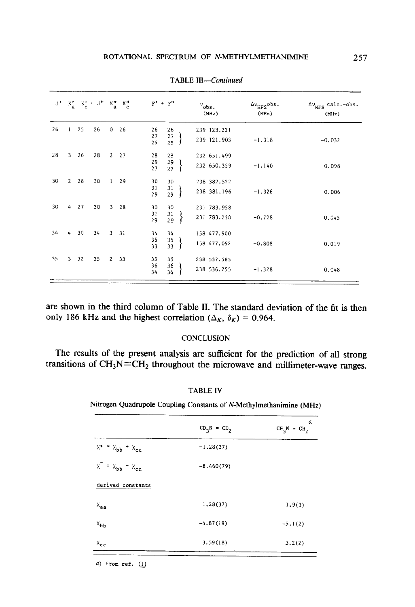|    |             |    | $J' = K'_a - K'_c + J'' - K''_a - K''_c$ |                |    |                | $F' + F''$            | $v_{obs}$ .<br>(MHz)       | $^{\Delta\mathrm{V}}_{\mathrm{HFS}}$ obs.<br>(MHz) | $\Delta v_{\rm HFS}$ calc.-obs.<br>(MHz) |
|----|-------------|----|------------------------------------------|----------------|----|----------------|-----------------------|----------------------------|----------------------------------------------------|------------------------------------------|
| 26 |             | 25 | 26                                       | $\mathbf{0}$   | 26 | 26<br>27<br>25 | 26<br>$27\,$<br>25    | 239 123.221<br>239 121.903 | $-1.318$                                           | $-0.032$                                 |
| 28 | 3           | 26 | 28                                       | $2^{\circ}$    | 27 | 28<br>29<br>27 | 28<br>29<br>27        | 232 651.499<br>232 650.359 | $-1.140$                                           | 0.098                                    |
| 30 | $2^{\circ}$ | 28 | 30                                       | $\mathbf{1}$   | 29 | 30<br>31<br>29 | 30<br>$\frac{31}{29}$ | 238 382.522<br>238 381.196 | $-1.326$                                           | 0.006                                    |
| 30 | 4           | 27 | 30                                       | $\overline{3}$ | 28 | 30<br>31<br>29 | 30<br>$\frac{31}{29}$ | 231 783.958<br>231 783.230 | $-0.728$                                           | 0.045                                    |
| 34 | 4           | 30 | 34                                       | $\mathbf{3}$   | 31 | 34<br>35<br>33 | 34<br>35<br>33        | 158 477.900<br>158 477.092 | $-0.808$                                           | 0.019                                    |
| 35 | 3           | 32 | 35                                       | $\overline{2}$ | 33 | 35<br>36<br>34 | 35<br>36<br>34        | 238 537.583<br>238 536.255 | $-1.328$                                           | 0.048                                    |

TABLE *III-Continued* 

are shown in the third column of Table II. The standard deviation of the fit is then only 186 kHz and the highest correlation ( $\Delta_K$ ,  $\delta_K$ ) = 0.964.

### **CONCLUSION**

The results of the present analysis are sufficient for the prediction of all strong transitions of  $CH<sub>3</sub>N=CH<sub>2</sub>$  throughout the microwave and millimeter-wave ranges.

## TABLE IV

Nitrogen Quadrupole Coupling Constants of N-Methylmethanimine (MHz)

|                                | $CD_3N = CD_2$ | α<br>$CH_3N = CH_2$ |
|--------------------------------|----------------|---------------------|
| $x^+ = x_{bb} + x_{cc}$        | $-1.28(37)$    |                     |
| $x^-=x_{bb} - x_{cc}$          | $-8,460(79)$   |                     |
| derived constants              |                |                     |
| $X_{aa}$                       | 1.28(37)       | 1.9(3)              |
| $x_{\mathbf{b} \mathbf{b}}$    | $-4.87(19)$    | $-5.1(2)$           |
| $X_{\mathbf{c} \, \mathbf{c}}$ | 3.59(18)       | 3.2(2)              |

a) from ref.  $(1)$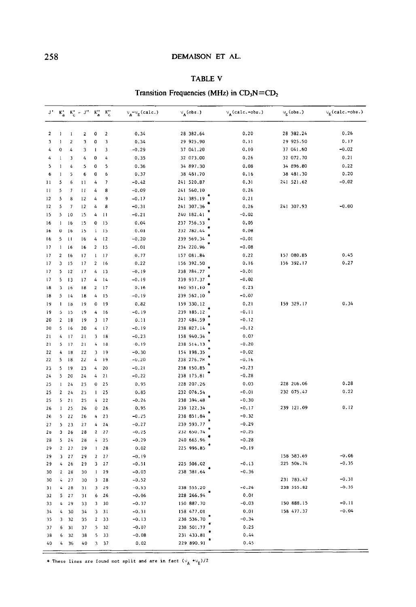## DEMAISON ET AL.

# TABLE V

# Transition Frequencies (MHz) in  $CD_3N=CD_2$

| J'                      | $K^{\prime}_{\bf a}$ |                | $K_c^T + J^H - K_a^H$   |                                                       | $K^{\prime\prime}_{\rm c}$ | $\vee_{A}\negthinspace\negthinspace\negthinspace\sim_{E}$ (calc.) | $v_A$ (obs.) | $v_A$ (calc.-obs.) | $v_E$ (obs.) | $v_E$ (calc.-obs.) |
|-------------------------|----------------------|----------------|-------------------------|-------------------------------------------------------|----------------------------|-------------------------------------------------------------------|--------------|--------------------|--------------|--------------------|
| $\overline{2}$          | 1                    | $\mathbf{I}$   | $\overline{\mathbf{c}}$ | 0                                                     | $\mathbf{2}$               | 0.34                                                              | 28 382.64    | 0.20               | 28 382.24    | 0.26               |
| $\overline{\mathbf{3}}$ | 1                    | $\overline{2}$ | 3                       | 0                                                     | 3                          | 0.34                                                              | 29 925.90    | 0.11               | 29 925.50    | 0.17               |
| 4                       | 0                    | 4              | 3                       | ı                                                     | 3                          | $-0.29$                                                           | 37 041.20    | 0.10               | 37 041.60    | $-0.02$            |
| 4                       | 1                    | 3              | 4                       | 0                                                     | 4                          | 0.35                                                              | 32 073.00    | 0.26               | 32 072.70    | 0.21               |
| 5                       | $\mathbf{1}$         | 4              | 5                       | 0                                                     | 5                          | 0.36                                                              | 34 897.30    | 0.08               | 34 896.80    | 0.22               |
| 6                       | $\mathbf{1}$         | 5              | 6                       | 0                                                     | 6                          | 0.37                                                              | 38 481.70    | 0.16               | 38 481.30    | 0.20               |
| 11                      | 5                    | 6              | 11                      | 4                                                     | 7                          | $-0.42$                                                           | 241 520.87   | 0.31               | 241 521.62   | $-0.02$            |
| Ħ                       | 5                    | $\overline{7}$ | п                       | 4                                                     | 8                          | $-0.09$                                                           | 241 560.10   | 0.26               |              |                    |
| 12                      | 5                    | 8              | 12                      | 4                                                     | 9                          | $-0.17$                                                           | 241 385.19   | 0, 21              |              |                    |
| 12                      | 5                    | 7              | 12                      | 4                                                     | 8                          | $-0.31$                                                           | 241 307.36   | 0.26               | 241 307.93   | $-0.00$            |
| 15                      | 5 <sup>7</sup>       | 10             | 15                      | 4                                                     | 11                         | $-0.21$                                                           | 240 182.41   | $-0.02$            |              |                    |
| 16                      | $\mathbf{1}$         | 16             | 15                      | 0                                                     | 15                         | 0.04                                                              | 237 756,53   | 0.05               |              |                    |
| 16                      | 0                    | 16             | 15                      | $\mathbf{I}$                                          | 15                         | 0.01                                                              | 232 782.44   | 0.08               |              |                    |
| 16                      | 5                    | Ħ              | 16                      | 4                                                     | $\sqrt{2}$                 | $-0.20$                                                           | 239 569.34   | $-0.01$            |              |                    |
| 17                      | $\mathbf{1}$         | 16             | 16                      | $\overline{2}$                                        | 15                         | $-0.01$                                                           | 234 220.96   | $-0.08$            |              |                    |
| 17                      | $\overline{c}$       | 16             | 17                      | 1                                                     | 17                         | 0,77                                                              | 157 081.84   | 0.22               | 157 080.85   | 0.45               |
| 17                      | 3                    | 15             | 17                      | 2                                                     | 16                         | 0.22                                                              | 156 392.50   | 0.16               | 156 392.17   | 0.27               |
| 17                      | 5                    | 12             | 17                      | 4                                                     | 13                         | $-0.19$                                                           | 238 784.77   | $-0.01$            |              |                    |
| 17                      | 5                    | 13             | 17                      | 4                                                     | 14                         | $-0.19$                                                           | 239 937.37   | $-0.02$            |              |                    |
| 18                      | 3                    | 16             | 18                      | $\mathbf{2}% ^{T}=\mathbf{2}^{T}\times\mathbf{2}^{T}$ | 17                         | 0.16                                                              | 160 951,10   | 0.23               |              |                    |
| 18                      | \$                   | 14             | 18                      | 4                                                     | 15                         | $-0.19$                                                           | 239 562.10   | $-0.07$            |              |                    |
| 19                      | $\mathbf{1}$         | 18             | 19                      | 0                                                     | 19                         | 0.82                                                              | 159 330.12   | 0.21               | 159 329.17   | 0.34               |
| 19                      | ċ.                   | 15             | 19                      | 4                                                     | 16                         | $-0.19$                                                           | 239 185.12   | $-0.11$            |              |                    |
| 20                      | $\overline{2}$       | 18             | 19                      | 3                                                     | 17                         | 0.11                                                              | 237 484.59   | $-0.12$            |              |                    |
| 20                      | 5                    | 16             | 20                      | 4                                                     | 17                         | $-0.19$                                                           | 238 827.14   | $-0.12$            |              |                    |
| 21                      | 4                    | 17             | 21                      | 3                                                     | 18                         | $-0.23$                                                           | 158 940.34   | 0.07               |              |                    |
| 21                      | 5                    | 17             | 21                      | $\overline{\mathbf{4}}$                               | 18                         | $-0.19$                                                           | 238 514.13   | $-0.20$            |              |                    |
| 22                      | 4                    | 18             | 22                      | 3                                                     | 19                         | $-0.30$                                                           | 154 198.35   | $-0.02$            |              |                    |
| 22                      | S.                   | 18             | 22                      | 4                                                     | 19                         | $-0.20$                                                           | 238 276.78   | $-0.16$            |              |                    |
| 23                      | 5                    | 19             | 23                      | 4                                                     | 20                         | $-0.21$                                                           | 238 150.85   | $-0.23$            |              |                    |
| 24                      | 5                    | 20             | 24                      | 4                                                     | 21                         | $-0.22$                                                           | 238 175.81   | $-0.28$            |              |                    |
| 25                      | $\mathbf{1}$         | 24             | 25                      | 0                                                     | 25                         | 0.95                                                              | 228 207.26   | 0.03               | 228 206.06   | 0.28               |
| 25                      | $\overline{2}$       | 24             | 25                      | ł.                                                    | 25                         | 0.85                                                              | 232 076.54   | $-0.01$            | 232 075.47   | 0.22               |
| 25                      | 5.                   | 21             | 25                      | 4                                                     | 22                         | $-0.24$                                                           | 238 394.48   | $-0.30$            |              |                    |
| 26                      | $\mathbf{1}$         | 25             | 26                      | 0                                                     | 26                         | 0.95                                                              | 239 122,34   | $-0.17$            | 239 121.09   | 0.12               |
| 26                      | 5                    | 22             | 26                      | 4                                                     | 23                         | $-0.25$                                                           | 238 851.84   | $-0.32$            |              |                    |
| 27                      | 5                    | 23             | 27                      | 4                                                     | 24                         | $-0.27$                                                           | 239 593.77   | $-0.29$            |              |                    |
| 28                      | 3                    | 26             | 28                      | 2                                                     | 27                         | $-0.25$                                                           | 232 650.74   | $-0.25$            |              |                    |
| 28                      | $5 -$                | 24             | 28                      | 4                                                     | 25                         | $-0.29$                                                           | 240 665.96   | $-0.28$            |              |                    |
| 29                      | $2^{\circ}$          | 27             | 29                      | ı                                                     | 28                         | 0.02                                                              | 225 996.85   | $-0.19$            |              |                    |
| 29                      | 3                    | 27             | 29                      | $\mathbf{2}$                                          | 27                         | $-0.19$                                                           |              |                    | 158 583.69   | $-0.06$            |
| 29                      | 4                    | 26             | 29                      | 3                                                     | 27                         | $-0.51$                                                           | 225 506.02   | $-0.13$            | 225 506.74   | $-0.35$            |
| 30                      | $2^{\circ}$          | 28             | 30                      | $\mathbf{I}$                                          | 29                         | $-0.03$                                                           | 238 381.64   | $-0.36$            |              |                    |
| 30                      | 4.                   | 27             | 30                      | $\overline{\mathbf{3}}$                               | 28                         | $-0.52$                                                           |              |                    | 231 783.47   | $-0.31$            |
| 31                      | $\mathbf{4}$         | 28             | 31                      | $\overline{\mathbf{3}}$                               | 29                         | $-0.53$                                                           | 238 555.20   | $-0.26$            | 238 555.82   | $-0.35$            |
| 32                      | 5                    | 27             | 31                      | 6                                                     | 26                         | $-0.06$                                                           | 228 266.94   | 0.01               |              |                    |
| 33                      | 4                    | 29             | 33                      | 3                                                     | 30                         | $-0.37$                                                           | 150 887.70   | $-0.03$            | 150 888.15   | $-0.11$            |
| 34                      | 4                    | 30             | 34                      | 3                                                     | 31                         | $-0.31$                                                           | 158 477.01   | 0.01               | 158 477.37   | $-0.04$            |
| 35                      | 3                    | 32             | 35                      | 2                                                     | 33                         | $-0.13$                                                           | 238 536.70   | $-0.34$            |              |                    |
| 37                      | 6                    | 31             | 37                      | 5                                                     | 32                         | $-0.07$                                                           | 238 501.77   | 0.25               |              |                    |
| 38                      | 6                    | 32             | 38                      | 5                                                     | 33                         | $-0.08$                                                           | 231 433.81   | 0.44               |              |                    |
|                         |                      | 36             | 40                      | 3                                                     | 37                         | 0.02                                                              | 229 890.91   | 0.45               |              |                    |

\* These lines are found not split and are in fact  $(\vee_{A} \star_{\vee_{E}}) / 2$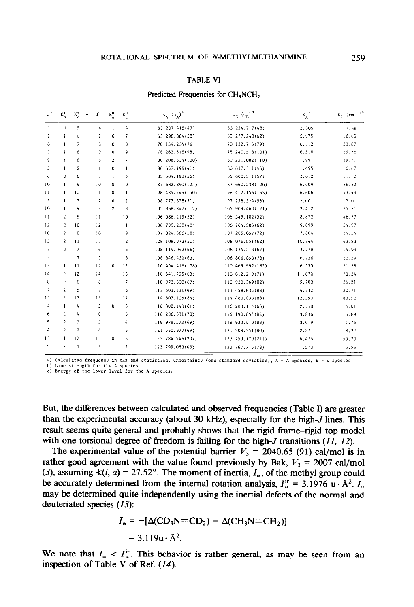#### TABLE VI

| $J^{\dagger}$  | $K_n^*$                 | $K_{\rm c}^*$            | J''<br>٠                 | $\kappa_a$              | $\kappa_c''$   | $v_A (\sigma_A)^a$ | $v_E$ $(\sigma_E)^a$ | $s_A^{\ b}$ | $\mathbf{E}_{\mathrm{g}}/(\mathrm{cm}^{-1})^{\mathrm{C}}$ |
|----------------|-------------------------|--------------------------|--------------------------|-------------------------|----------------|--------------------|----------------------|-------------|-----------------------------------------------------------|
| 5              | $\mathsf{O}\xspace$     | 5                        | 4                        | 1                       | 4              | 63 207, 415 (47)   | 63 224, 717 (48)     | 2.309       | 7.88                                                      |
| $\overline{7}$ | $\mathbf{1}$            | 6                        | $\overline{1}$           | 0                       | $\overline{7}$ | 63 298.364(58)     | 63 277.248(62)       | 5.975       | 18,60                                                     |
| 8              | $\mathbf{I}$            | $\overline{\phantom{a}}$ | 8                        | 0                       | 8              | 70 154.234 (76)    | 70 132.715(79)       | 6.312       | 23,87                                                     |
| 9              | $\mathbf{1}$            | 8                        | 9                        | 0                       | 9              | 78 262.516 (98)    | 78 240.518(101)      | 6.518       | 29.78                                                     |
| 9              | $\mathbf{I}$            | 8                        | 8                        | $\overline{\mathbf{c}}$ | $\overline{7}$ | 80 208.304 (100)   | 80 251.082(110)      | 1.991       | 29.71                                                     |
| 2              | <sup>1</sup>            | $\mathfrak{p}$           | T.                       | ٥                       | $\mathbf{I}$   | 80 657, 196 (41)   | 80 637, 311 (46)     | 1.495       | 0.67                                                      |
| 6              | O                       | 6                        | 5                        | $\mathbf{1}$            | 5              | 85 584.198(56)     | 85 600.511(57)       | 3.012       | 11,12                                                     |
| 10             | $\mathbf{I}$            | 9                        | 10                       | 0                       | 10             | 87 682, 840 (123)  | 87 660,238(126)      | 6.609       | 36.32                                                     |
| 11             | ł.                      | 10                       | $_{11}$                  | 0                       | 11             | 98 435.545 (150)   | 98 412.156(153)      | 6.606       | 43.49                                                     |
| 3              | f,                      | 3                        | $\overline{2}$           | 0                       | $\overline{2}$ | 98 777.828(51)     | 97 758.324(56)       | 2.001       | 2,00                                                      |
| 10             | f.                      | 9                        | 9                        | $\overline{\mathbf{2}}$ | 8              | 105 868.847(112)   | 105 909.460(121)     | 2.412       | 35.71                                                     |
| $\mathbf{1}$   | $\overline{2}$          | 9                        | $\mathbf{1}$             | ŧ                       | 10             | 106 586.219(52)    | 106 549.102(52)      | 8.872       | 46.77                                                     |
| 12             | $\overline{c}$          | 10                       | 12                       | Ł                       | $\mathbf{1}$   | 106 799.238 (48)   | 106 764.585 (62)     | 9.899       | 54.97                                                     |
| 10             | $\overline{2}$          | 8                        | 10                       | Ŧ.                      | $\mathbf{Q}$   | 107 324.505 (58)   | 107 285.057(72)      | 7.804       | 39.24                                                     |
| 13             | $\overline{a}$          | $\overline{11}$          | 13                       | ŧ                       | 12             | 108 108 972 (50)   | 108 076,851 (62)     | 10.844      | 63,83                                                     |
| 7              | Û                       | 7                        | 6                        | $\mathbf{I}$            | 6              | 108 119.042(66)    | 108 134.213(67)      | 3.778       | 14.99                                                     |
| 9              | $\overline{2}$          | $\overline{7}$           | 9                        | $\mathbf{I}$            | 8              | 108 848,432(63)    | 108 806.853(78)      | 6.736       | 32.39                                                     |
| 12             | $\mathbf{I}$            | 11                       | 12                       | 0                       | 12             | 110 494, 416 (178) | 110 469,992(182)     | 6.535       | 51.28                                                     |
| 14             | $\overline{2}$          | 12                       | 14                       | $\mathbf{I}$            | 13             | 110 641.795 (63)   | 110 612, 219 (71)    | 11,670      | 73.34                                                     |
| 8              | $\overline{2}$          | 6                        | 8                        | $\mathbf{1}$            | $\overline{7}$ | 110 973.800 (67)   | 110 930, 369 (82)    | 5.703       | 26.21                                                     |
| $\overline{7}$ | $\overline{\mathbf{2}}$ | 5                        | $\overline{\phantom{a}}$ | $\mathbf{1}$            | 6              | 113 503.531 (69)   | 113 458.635(83)      | 4.732       | 20.71                                                     |
| 15             | $\overline{2}$          | $\overline{13}$          | 15                       | $\mathbf{1}$            | 14             | 114 507.105 (84)   | 114 480,033(88)      | 12,350      | 83.52                                                     |
| 4              | $\mathbf{I}$            | 4                        | 3                        | 0                       | 3              | 116 302, 193(61)   | 116 283.114 (66)     | 2.548       | 4.01                                                      |
| 6              | $\overline{2}$          | 4                        | 6                        | $\mathbf{I}$            | 5              | 116 236.631 (70)   | 116 190.854 (84)     | 3.836       | 15.89                                                     |
| 5              | $\overline{\mathbf{c}}$ | 3                        | 5                        | $\mathbf{1}$            | 4              | 118 978.572 (69)   | 118 933.010(83)      | 3,019       | 11,76                                                     |
| 4              | $\overline{\mathbf{2}}$ | $\overline{2}$           | 4                        | $\mathbf{1}$            | 3              | 121 550.977(69)    | 121 508.351(80)      | 2.271       | 8.32                                                      |
| 13             | $\mathbf{1}$            | 12                       | 13                       | ٥                       | 13             | 123 784.946 (207)  | 123 759.179(211)     | 6.425       | 59.70                                                     |
| 3              | $\overline{2}$          | 1                        | 3                        | $\mathbf{I}$            | $\overline{2}$ | 123 799.083(68)    | 123 767.713(78)      | 1.570       | 5.56                                                      |

#### Predicted Frequencies for CH<sub>3</sub>NCH<sub>2</sub>

a) Calculated frequency in MHz and statistical uncertainty (one standard **deviation),** A = A **species,** E = E species

b) Line strength for the A species<br>c) Energy of the lower level for the A species.

But, the differences between calculated and observed frequencies (Table I) are greater than the experimental accuracy (about 30 kHz), especially for the high-*J* lines. This result seems quite general and probably shows that the rigid frame-rigid top model with one torsional degree of freedom is failing for the high-*J* transitions (11, 12).

The experimental value of the potential barrier  $V_3 = 2040.65$  (91) cal/mol is in rather good agreement with the value found previously by Bak,  $V_3 = 2007$  cal/mol (3), assuming  $\langle i, a \rangle = 27.52^{\circ}$ . The moment of inertia,  $I_{\alpha}$ , of the methyl group could be accurately determined from the internal rotation analysis,  $I_{\alpha}^{\text{ir}} = 3.1976 \text{ u} \cdot \text{A}^2$ .  $I_{\alpha}$ may be determined quite independently using the inertial defects of the normal and deuteriated species (13):

$$
I_{\alpha} = -[\Delta (CD_3N=CD_2) - \Delta (CH_3N=CH_2)]
$$
  
= 3.119u \cdot \hat{A}^2.

We note that  $I_{\alpha} < I_{\alpha}^{ir}$ . This behavior is rather general, as may be seen from an inspection of Table V of Ref. (14).